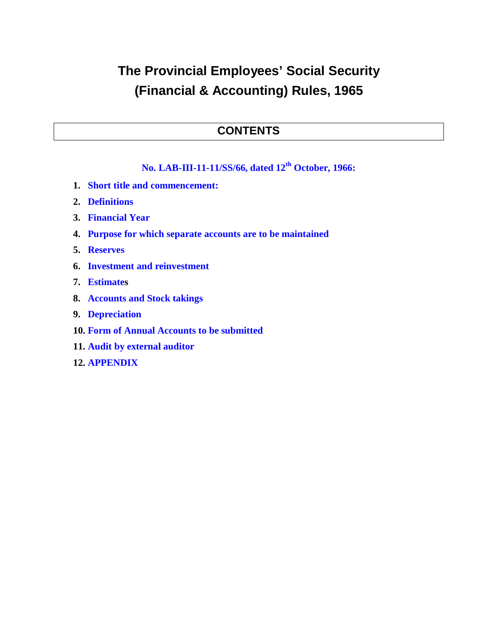# **The Provincial Employees' Social Security (Financial & Accounting) Rules, 1965**

#### **CONTENTS**

### **No. LAB-III-11-11/SS/66, dated 12th October, 1966:**

- **1. Short title and commencement:**
- **2. Definitions**
- **3. Financial Year**
- **4. Purpose for which separate accounts are to be maintained**
- **5. Reserves**
- **6. Investment and reinvestment**
- **7. Estimates**
- **8. Accounts and Stock takings**
- **9. Depreciation**
- **10. Form of Annual Accounts to be submitted**
- **11. Audit by external auditor**
- **12. APPENDIX**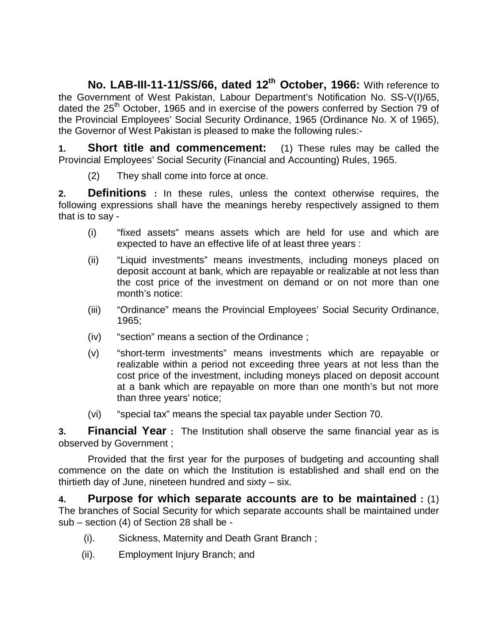**No. LAB-III-11-11/SS/66, dated 12th October, 1966:** With reference to the Government of West Pakistan, Labour Department's Notification No. SS-V(I)/65, dated the 25<sup>th</sup> October, 1965 and in exercise of the powers conferred by Section 79 of the Provincial Employees' Social Security Ordinance, 1965 (Ordinance No. X of 1965), the Governor of West Pakistan is pleased to make the following rules:-

**1. Short title and commencement:** (1) These rules may be called the Provincial Employees' Social Security (Financial and Accounting) Rules, 1965.

(2) They shall come into force at once.

**2. Definitions :** In these rules, unless the context otherwise requires, the following expressions shall have the meanings hereby respectively assigned to them that is to say -

- (i) "fixed assets" means assets which are held for use and which are expected to have an effective life of at least three years :
- (ii) "Liquid investments" means investments, including moneys placed on deposit account at bank, which are repayable or realizable at not less than the cost price of the investment on demand or on not more than one month's notice:
- (iii) "Ordinance" means the Provincial Employees' Social Security Ordinance, 1965;
- (iv) "section" means a section of the Ordinance ;
- (v) "short-term investments" means investments which are repayable or realizable within a period not exceeding three years at not less than the cost price of the investment, including moneys placed on deposit account at a bank which are repayable on more than one month's but not more than three years' notice;
- (vi) "special tax" means the special tax payable under Section 70.

**3. Financial Year :** The Institution shall observe the same financial year as is observed by Government ;

Provided that the first year for the purposes of budgeting and accounting shall commence on the date on which the Institution is established and shall end on the thirtieth day of June, nineteen hundred and sixty – six.

**4. Purpose for which separate accounts are to be maintained :** (1) The branches of Social Security for which separate accounts shall be maintained under sub – section (4) of Section 28 shall be -

- (i). Sickness, Maternity and Death Grant Branch ;
- (ii). Employment Injury Branch; and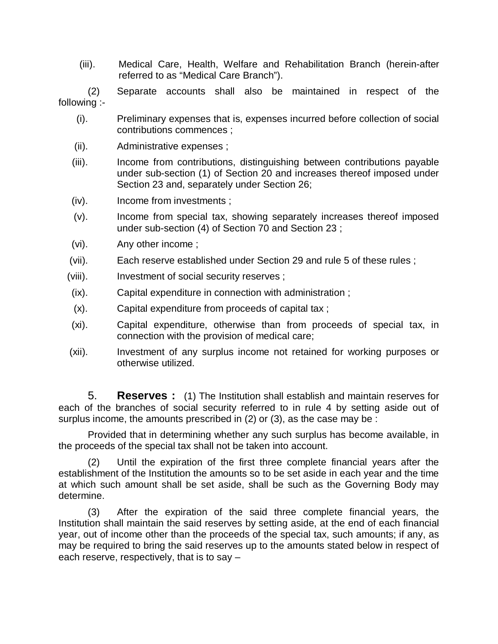(iii). Medical Care, Health, Welfare and Rehabilitation Branch (herein-after referred to as "Medical Care Branch").

(2) Separate accounts shall also be maintained in respect of the following :-

- (i). Preliminary expenses that is, expenses incurred before collection of social contributions commences ;
- (ii). Administrative expenses ;
- (iii). Income from contributions, distinguishing between contributions payable under sub-section (1) of Section 20 and increases thereof imposed under Section 23 and, separately under Section 26;
- (iv). Income from investments ;
- (v). Income from special tax, showing separately increases thereof imposed under sub-section (4) of Section 70 and Section 23 ;
- (vi). Any other income ;
- (vii). Each reserve established under Section 29 and rule 5 of these rules ;
- (viii). Investment of social security reserves ;
- (ix). Capital expenditure in connection with administration ;
- (x). Capital expenditure from proceeds of capital tax ;
- (xi). Capital expenditure, otherwise than from proceeds of special tax, in connection with the provision of medical care;
- (xii). Investment of any surplus income not retained for working purposes or otherwise utilized.

5. **Reserves :** (1) The Institution shall establish and maintain reserves for each of the branches of social security referred to in rule 4 by setting aside out of surplus income, the amounts prescribed in (2) or (3), as the case may be :

Provided that in determining whether any such surplus has become available, in the proceeds of the special tax shall not be taken into account.

(2) Until the expiration of the first three complete financial years after the establishment of the Institution the amounts so to be set aside in each year and the time at which such amount shall be set aside, shall be such as the Governing Body may determine.

(3) After the expiration of the said three complete financial years, the Institution shall maintain the said reserves by setting aside, at the end of each financial year, out of income other than the proceeds of the special tax, such amounts; if any, as may be required to bring the said reserves up to the amounts stated below in respect of each reserve, respectively, that is to say –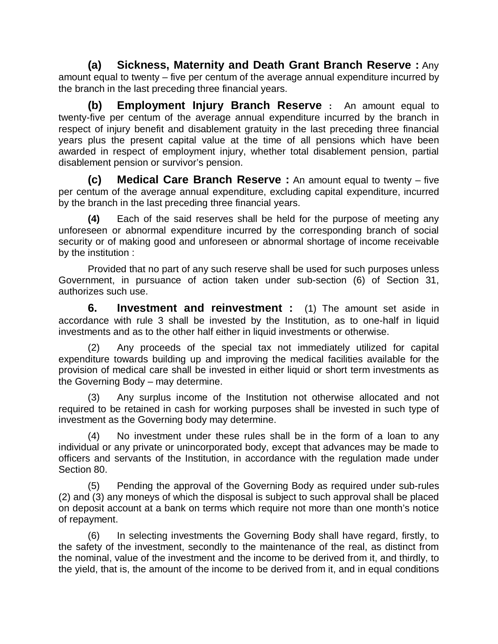**(a) Sickness, Maternity and Death Grant Branch Reserve :** Any amount equal to twenty – five per centum of the average annual expenditure incurred by the branch in the last preceding three financial years.

**(b) Employment Injury Branch Reserve :** An amount equal to twenty-five per centum of the average annual expenditure incurred by the branch in respect of injury benefit and disablement gratuity in the last preceding three financial years plus the present capital value at the time of all pensions which have been awarded in respect of employment injury, whether total disablement pension, partial disablement pension or survivor's pension.

**(c) Medical Care Branch Reserve :** An amount equal to twenty – five per centum of the average annual expenditure, excluding capital expenditure, incurred by the branch in the last preceding three financial years.

**(4)** Each of the said reserves shall be held for the purpose of meeting any unforeseen or abnormal expenditure incurred by the corresponding branch of social security or of making good and unforeseen or abnormal shortage of income receivable by the institution :

Provided that no part of any such reserve shall be used for such purposes unless Government, in pursuance of action taken under sub-section (6) of Section 31, authorizes such use.

**6. Investment and reinvestment :** (1) The amount set aside in accordance with rule 3 shall be invested by the Institution, as to one-half in liquid investments and as to the other half either in liquid investments or otherwise.

(2) Any proceeds of the special tax not immediately utilized for capital expenditure towards building up and improving the medical facilities available for the provision of medical care shall be invested in either liquid or short term investments as the Governing Body – may determine.

(3) Any surplus income of the Institution not otherwise allocated and not required to be retained in cash for working purposes shall be invested in such type of investment as the Governing body may determine.

(4) No investment under these rules shall be in the form of a loan to any individual or any private or unincorporated body, except that advances may be made to officers and servants of the Institution, in accordance with the regulation made under Section 80.

(5) Pending the approval of the Governing Body as required under sub-rules (2) and (3) any moneys of which the disposal is subject to such approval shall be placed on deposit account at a bank on terms which require not more than one month's notice of repayment.

(6) In selecting investments the Governing Body shall have regard, firstly, to the safety of the investment, secondly to the maintenance of the real, as distinct from the nominal, value of the investment and the income to be derived from it, and thirdly, to the yield, that is, the amount of the income to be derived from it, and in equal conditions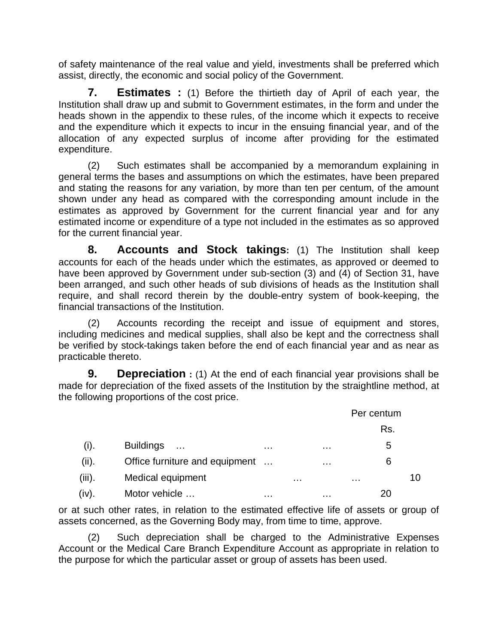of safety maintenance of the real value and yield, investments shall be preferred which assist, directly, the economic and social policy of the Government.

**7. Estimates :** (1) Before the thirtieth day of April of each year, the Institution shall draw up and submit to Government estimates, in the form and under the heads shown in the appendix to these rules, of the income which it expects to receive and the expenditure which it expects to incur in the ensuing financial year, and of the allocation of any expected surplus of income after providing for the estimated expenditure.

(2) Such estimates shall be accompanied by a memorandum explaining in general terms the bases and assumptions on which the estimates, have been prepared and stating the reasons for any variation, by more than ten per centum, of the amount shown under any head as compared with the corresponding amount include in the estimates as approved by Government for the current financial year and for any estimated income or expenditure of a type not included in the estimates as so approved for the current financial year.

**8. Accounts and Stock takings:** (1) The Institution shall keep accounts for each of the heads under which the estimates, as approved or deemed to have been approved by Government under sub-section (3) and (4) of Section 31, have been arranged, and such other heads of sub divisions of heads as the Institution shall require, and shall record therein by the double-entry system of book-keeping, the financial transactions of the Institution.

(2) Accounts recording the receipt and issue of equipment and stores, including medicines and medical supplies, shall also be kept and the correctness shall be verified by stock-takings taken before the end of each financial year and as near as practicable thereto.

**9. Depreciation :** (1) At the end of each financial year provisions shall be made for depreciation of the fixed assets of the Institution by the straightline method, at the following proportions of the cost price.

|           |                                |          |   |               | Per centum |     |    |
|-----------|--------------------------------|----------|---|---------------|------------|-----|----|
|           |                                |          |   |               |            | Rs. |    |
| (i).      | <b>Buildings</b><br>$\ldots$   | $\cdots$ |   | $\cdots$      |            | 5   |    |
| (ii).     | Office furniture and equipment |          |   | $\sim$ $\sim$ |            | 6   |    |
| $(iii)$ . | Medical equipment              |          | . |               | .          |     | 10 |
| (iv).     | Motor vehicle                  | .        |   | .             |            | 20  |    |

or at such other rates, in relation to the estimated effective life of assets or group of assets concerned, as the Governing Body may, from time to time, approve.

(2) Such depreciation shall be charged to the Administrative Expenses Account or the Medical Care Branch Expenditure Account as appropriate in relation to the purpose for which the particular asset or group of assets has been used.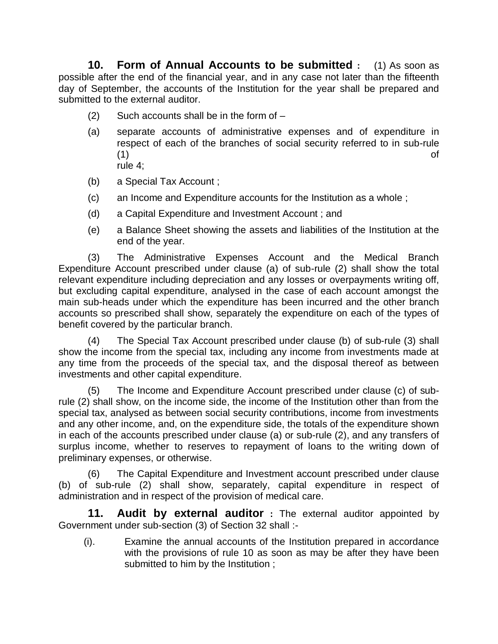**10. Form of Annual Accounts to be submitted :** (1) As soon as possible after the end of the financial year, and in any case not later than the fifteenth day of September, the accounts of the Institution for the year shall be prepared and submitted to the external auditor.

- $(2)$  Such accounts shall be in the form of  $-$
- (a) separate accounts of administrative expenses and of expenditure in respect of each of the branches of social security referred to in sub-rule  $(1)$  of rule 4;
- (b) a Special Tax Account ;
- (c) an Income and Expenditure accounts for the Institution as a whole ;
- (d) a Capital Expenditure and Investment Account ; and
- (e) a Balance Sheet showing the assets and liabilities of the Institution at the end of the year.

(3) The Administrative Expenses Account and the Medical Branch Expenditure Account prescribed under clause (a) of sub-rule (2) shall show the total relevant expenditure including depreciation and any losses or overpayments writing off, but excluding capital expenditure, analysed in the case of each account amongst the main sub-heads under which the expenditure has been incurred and the other branch accounts so prescribed shall show, separately the expenditure on each of the types of benefit covered by the particular branch.

(4) The Special Tax Account prescribed under clause (b) of sub-rule (3) shall show the income from the special tax, including any income from investments made at any time from the proceeds of the special tax, and the disposal thereof as between investments and other capital expenditure.

(5) The Income and Expenditure Account prescribed under clause (c) of subrule (2) shall show, on the income side, the income of the Institution other than from the special tax, analysed as between social security contributions, income from investments and any other income, and, on the expenditure side, the totals of the expenditure shown in each of the accounts prescribed under clause (a) or sub-rule (2), and any transfers of surplus income, whether to reserves to repayment of loans to the writing down of preliminary expenses, or otherwise.

(6) The Capital Expenditure and Investment account prescribed under clause (b) of sub-rule (2) shall show, separately, capital expenditure in respect of administration and in respect of the provision of medical care.

**11. Audit by external auditor :** The external auditor appointed by Government under sub-section (3) of Section 32 shall :-

(i). Examine the annual accounts of the Institution prepared in accordance with the provisions of rule 10 as soon as may be after they have been submitted to him by the Institution ;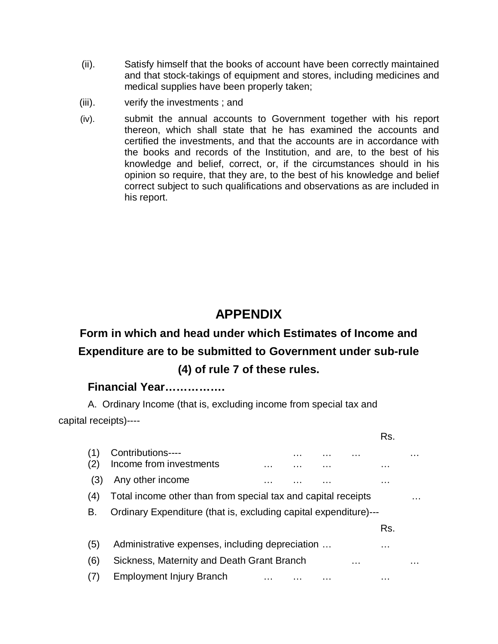- (ii). Satisfy himself that the books of account have been correctly maintained and that stock-takings of equipment and stores, including medicines and medical supplies have been properly taken;
- (iii). verify the investments ; and
- (iv). submit the annual accounts to Government together with his report thereon, which shall state that he has examined the accounts and certified the investments, and that the accounts are in accordance with the books and records of the Institution, and are, to the best of his knowledge and belief, correct, or, if the circumstances should in his opinion so require, that they are, to the best of his knowledge and belief correct subject to such qualifications and observations as are included in his report.

## **APPENDIX**

## **Form in which and head under which Estimates of Income and Expenditure are to be submitted to Government under sub-rule (4) of rule 7 of these rules.**

#### **Financial Year…………….**

A. Ordinary Income (that is, excluding income from special tax and capital receipts)----

|                   |                                                                            | Rs.      |   |  |  |
|-------------------|----------------------------------------------------------------------------|----------|---|--|--|
| (1)<br>(2)        | Contributions----<br>.<br>.<br>.<br>Income from investments<br>.<br>.<br>. | .        | . |  |  |
| (3)               | Any other income<br>.                                                      | .        |   |  |  |
| (4)               | Total income other than from special tax and capital receipts              |          | . |  |  |
| В.                | Ordinary Expenditure (that is, excluding capital expenditure)---           |          |   |  |  |
|                   |                                                                            | Rs.      |   |  |  |
| (5)               | Administrative expenses, including depreciation                            | $\cdots$ |   |  |  |
| (6)               | Sickness, Maternity and Death Grant Branch<br>.                            |          | . |  |  |
| $\left( 7\right)$ | <b>Employment Injury Branch</b><br>.<br>.<br>.                             | .        |   |  |  |